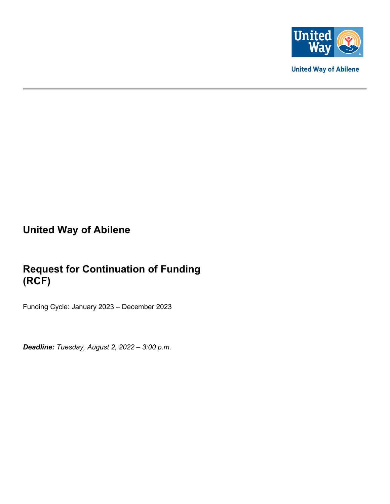

**United Way of Abilene** 

# **United Way of Abilene**

# **Request for Continuation of Funding (RCF)**

Funding Cycle: January 2023 – December 2023

*Deadline: Tuesday, August 2, 2022 – 3:00 p.m.*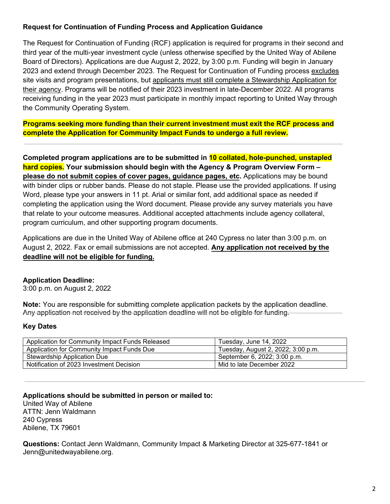### **Request for Continuation of Funding Process and Application Guidance**

The Request for Continuation of Funding (RCF) application is required for programs in their second and third year of the multi-year investment cycle (unless otherwise specified by the United Way of Abilene Board of Directors). Applications are due August 2, 2022, by 3:00 p.m. Funding will begin in January 2023 and extend through December 2023. The Request for Continuation of Funding process excludes site visits and program presentations, but applicants must still complete a Stewardship Application for their agency. Programs will be notified of their 2023 investment in late-December 2022. All programs receiving funding in the year 2023 must participate in monthly impact reporting to United Way through the Community Operating System.

**Programs seeking more funding than their current investment must exit the RCF process and complete the Application for Community Impact Funds to undergo a full review.**

**Completed program applications are to be submitted in 10 collated, hole-punched, unstapled hard copies. Your submission should begin with the Agency & Program Overview Form – please do not submit copies of cover pages, guidance pages, etc.** Applications may be bound with binder clips or rubber bands. Please do not staple. Please use the provided applications. If using Word, please type your answers in 11 pt. Arial or similar font, add additional space as needed if completing the application using the Word document. Please provide any survey materials you have that relate to your outcome measures. Additional accepted attachments include agency collateral, program curriculum, and other supporting program documents.

Applications are due in the United Way of Abilene office at 240 Cypress no later than 3:00 p.m. on August 2, 2022. Fax or email submissions are not accepted. **Any application not received by the deadline will not be eligible for funding.**

### **Application Deadline:**

3:00 p.m. on August 2, 2022

**Note:** You are responsible for submitting complete application packets by the application deadline. Any application not received by the application deadline will not be eligible for funding.

#### **Key Dates**

| Application for Community Impact Funds Released | Tuesday, June 14, 2022             |
|-------------------------------------------------|------------------------------------|
| Application for Community Impact Funds Due      | Tuesday, August 2, 2022; 3:00 p.m. |
| Stewardship Application Due                     | September 6, 2022; 3:00 p.m.       |
| Notification of 2023 Investment Decision        | Mid to late December 2022          |

**Applications should be submitted in person or mailed to:** United Way of Abilene ATTN: Jenn Waldmann 240 Cypress Abilene, TX 79601

**Questions:** Contact Jenn Waldmann, Community Impact & Marketing Director at 325-677-1841 or Jenn@unitedwayabilene.org.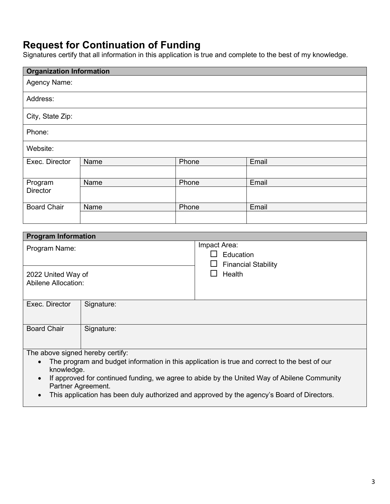# **Request for Continuation of Funding**

Signatures certify that all information in this application is true and complete to the best of my knowledge.

| <b>Organization Information</b> |      |       |       |  |  |
|---------------------------------|------|-------|-------|--|--|
| Agency Name:                    |      |       |       |  |  |
| Address:                        |      |       |       |  |  |
| City, State Zip:                |      |       |       |  |  |
| Phone:                          |      |       |       |  |  |
| Website:                        |      |       |       |  |  |
| Exec. Director                  | Name | Phone | Email |  |  |
|                                 |      |       |       |  |  |
| Program                         | Name | Phone | Email |  |  |
| Director                        |      |       |       |  |  |
| <b>Board Chair</b>              | Name | Phone | Email |  |  |
|                                 |      |       |       |  |  |

| Impact Area:<br>Education<br><b>Financial Stability</b><br>ப                                                                                                                                                                                               |  |  |
|------------------------------------------------------------------------------------------------------------------------------------------------------------------------------------------------------------------------------------------------------------|--|--|
| Health                                                                                                                                                                                                                                                     |  |  |
|                                                                                                                                                                                                                                                            |  |  |
| Signature:                                                                                                                                                                                                                                                 |  |  |
|                                                                                                                                                                                                                                                            |  |  |
| The program and budget information in this application is true and correct to the best of our<br>$\bullet$<br>knowledge.<br>If approved for continued funding, we agree to abide by the United Way of Abilene Community<br>$\bullet$<br>Partner Agreement. |  |  |
|                                                                                                                                                                                                                                                            |  |  |

• This application has been duly authorized and approved by the agency's Board of Directors.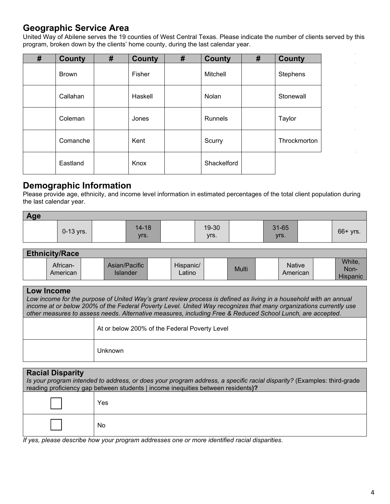## **Geographic Service Area**

United Way of Abilene serves the 19 counties of West Central Texas. Please indicate the number of clients served by this program, broken down by the clients' home county, during the last calendar year.

| # | <b>County</b> | # | <b>County</b> | # | <b>County</b>  | # | <b>County</b> |
|---|---------------|---|---------------|---|----------------|---|---------------|
|   | <b>Brown</b>  |   | Fisher        |   | Mitchell       |   | Stephens      |
|   | Callahan      |   | Haskell       |   | Nolan          |   | Stonewall     |
|   | Coleman       |   | Jones         |   | <b>Runnels</b> |   | Taylor        |
|   | Comanche      |   | Kent          |   | Scurry         |   | Throckmorton  |
|   | Eastland      |   | Knox          |   | Shackelford    |   |               |

## **Demographic Information**

Please provide age, ethnicity, and income level information in estimated percentages of the total client population during the last calendar year.

| Age |             |                   |               |               |            |
|-----|-------------|-------------------|---------------|---------------|------------|
|     | $0-13$ yrs. | $14 - 18$<br>yrs. | 19-30<br>Vrs. | 31-65<br>Vrs. | $66+$ yrs. |

## **Ethnicity/Race**

| <b>_</b>             |                           |                     |       |                    |                                   |
|----------------------|---------------------------|---------------------|-------|--------------------|-----------------------------------|
| African-<br>American | Asian/Pacific<br>Islander | Hispanic/<br>atino. | Multi | Native<br>American | White,<br>Non-<br><b>Hispanic</b> |

| Low Income<br>Low income for the purpose of United Way's grant review process is defined as living in a household with an annual<br>income at or below 200% of the Federal Poverty Level. United Way recognizes that many organizations currently use<br>other measures to assess needs. Alternative measures, including Free & Reduced School Lunch, are accepted. |                                               |  |  |  |
|---------------------------------------------------------------------------------------------------------------------------------------------------------------------------------------------------------------------------------------------------------------------------------------------------------------------------------------------------------------------|-----------------------------------------------|--|--|--|
|                                                                                                                                                                                                                                                                                                                                                                     | At or below 200% of the Federal Poverty Level |  |  |  |
|                                                                                                                                                                                                                                                                                                                                                                     | Jnknown                                       |  |  |  |

| <b>Racial Disparity</b><br>Is your program intended to address, or does your program address, a specific racial disparity? (Examples: third-grade<br>reading proficiency gap between students   income inequities between residents)? |     |  |  |  |
|---------------------------------------------------------------------------------------------------------------------------------------------------------------------------------------------------------------------------------------|-----|--|--|--|
|                                                                                                                                                                                                                                       | Yes |  |  |  |
|                                                                                                                                                                                                                                       | No  |  |  |  |

*If yes, please describe how your program addresses one or more identified racial disparities.*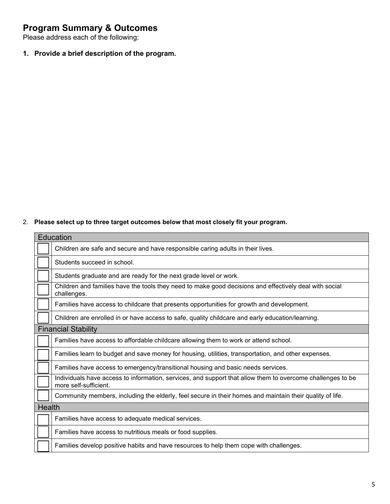# **Program Summary & Outcomes**

Please address each of the following:

**1. Provide a brief description of the program.**

2. **Please select up to three target outcomes below that most closely fit your program.**

|               | Education                                                                                                                           |
|---------------|-------------------------------------------------------------------------------------------------------------------------------------|
|               | Children are safe and secure and have responsible caring adults in their lives.                                                     |
|               | Students succeed in school.                                                                                                         |
|               | Students graduate and are ready for the next grade level or work.                                                                   |
|               | Children and families have the tools they need to make good decisions and effectively deal with social<br>challenges.               |
|               | Families have access to childcare that presents opportunities for growth and development.                                           |
|               | Children are enrolled in or have access to safe, quality childcare and early education/learning.                                    |
|               | <b>Financial Stability</b>                                                                                                          |
|               | Families have access to affordable childcare allowing them to work or attend school.                                                |
|               | Families learn to budget and save money for housing, utilities, transportation, and other expenses.                                 |
|               | Families have access to emergency/transitional housing and basic needs services.                                                    |
|               | Individuals have access to information, services, and support that allow them to overcome challenges to be<br>more self-sufficient. |
|               | Community members, including the elderly, feel secure in their homes and maintain their quality of life.                            |
| <b>Health</b> |                                                                                                                                     |
|               | Families have access to adequate medical services.                                                                                  |
|               | Families have access to nutritious meals or food supplies.                                                                          |
|               | Families develop positive habits and have resources to help them cope with challenges.                                              |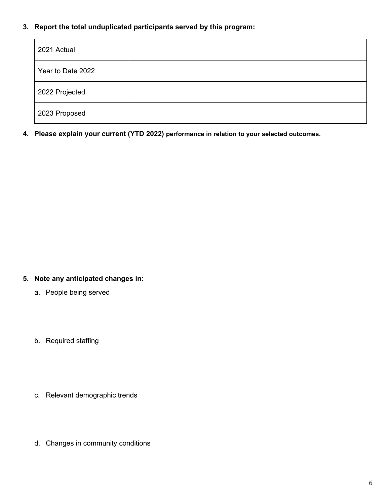#### **3. Report the total unduplicated participants served by this program:**

| 2021 Actual       |  |
|-------------------|--|
| Year to Date 2022 |  |
| 2022 Projected    |  |
| 2023 Proposed     |  |

**4. Please explain your current (YTD 2022) performance in relation to your selected outcomes.**

### **5. Note any anticipated changes in:**

- a. People being served
- b. Required staffing
- c. Relevant demographic trends
- d. Changes in community conditions